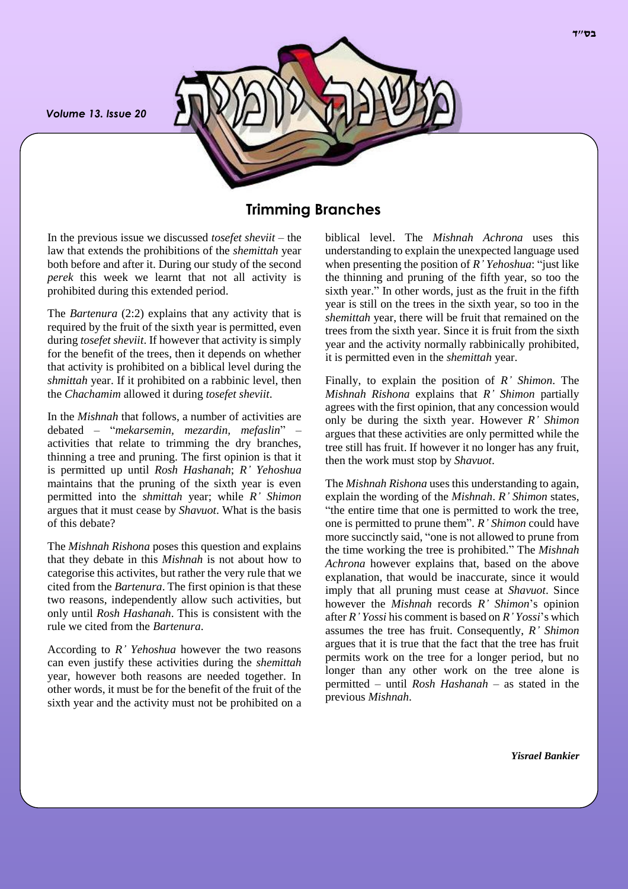*Volume 13. Issue 20*



## **Trimming Branches**

In the previous issue we discussed *tosefet sheviit* – the law that extends the prohibitions of the *shemittah* year both before and after it. During our study of the second *perek* this week we learnt that not all activity is prohibited during this extended period.

The *Bartenura* (2:2) explains that any activity that is required by the fruit of the sixth year is permitted, even during *tosefet sheviit*. If however that activity is simply for the benefit of the trees, then it depends on whether that activity is prohibited on a biblical level during the *shmittah* year. If it prohibited on a rabbinic level, then the *Chachamim* allowed it during *tosefet sheviit*.

In the *Mishnah* that follows, a number of activities are debated – "*mekarsemin, mezardin, mefaslin*" – activities that relate to trimming the dry branches, thinning a tree and pruning. The first opinion is that it is permitted up until *Rosh Hashanah*; *R' Yehoshua* maintains that the pruning of the sixth year is even permitted into the *shmittah* year; while *R' Shimon* argues that it must cease by *Shavuot*. What is the basis of this debate?

The *Mishnah Rishona* poses this question and explains that they debate in this *Mishnah* is not about how to categorise this activites, but rather the very rule that we cited from the *Bartenura*. The first opinion is that these two reasons, independently allow such activities, but only until *Rosh Hashanah*. This is consistent with the rule we cited from the *Bartenura*.

According to *R' Yehoshua* however the two reasons can even justify these activities during the *shemittah* year, however both reasons are needed together. In other words, it must be for the benefit of the fruit of the sixth year and the activity must not be prohibited on a biblical level. The *Mishnah Achrona* uses this understanding to explain the unexpected language used when presenting the position of *R' Yehoshua*: "just like the thinning and pruning of the fifth year, so too the sixth year." In other words, just as the fruit in the fifth year is still on the trees in the sixth year, so too in the *shemittah* year, there will be fruit that remained on the trees from the sixth year. Since it is fruit from the sixth year and the activity normally rabbinically prohibited, it is permitted even in the *shemittah* year.

Finally, to explain the position of *R' Shimon*. The *Mishnah Rishona* explains that *R' Shimon* partially agrees with the first opinion, that any concession would only be during the sixth year. However *R' Shimon* argues that these activities are only permitted while the tree still has fruit. If however it no longer has any fruit, then the work must stop by *Shavuot*.

The *Mishnah Rishona* uses this understanding to again, explain the wording of the *Mishnah*. *R' Shimon* states, "the entire time that one is permitted to work the tree, one is permitted to prune them". *R' Shimon* could have more succinctly said, "one is not allowed to prune from the time working the tree is prohibited." The *Mishnah Achrona* however explains that, based on the above explanation, that would be inaccurate, since it would imply that all pruning must cease at *Shavuot*. Since however the *Mishnah* records *R' Shimon*'s opinion after *R' Yossi* his comment is based on *R' Yossi*'s which assumes the tree has fruit. Consequently, *R' Shimon* argues that it is true that the fact that the tree has fruit permits work on the tree for a longer period, but no longer than any other work on the tree alone is permitted – until *Rosh Hashanah* – as stated in the previous *Mishnah*.

*Yisrael Bankier*